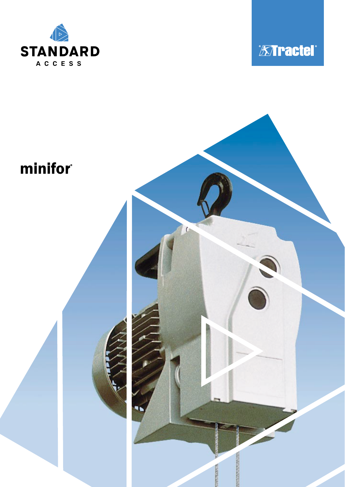



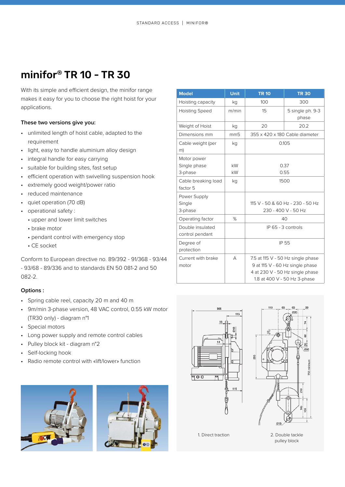# minifor® TR 10 - TR 30

With its simple and efficient design, the minifor range makes it easy for you to choose the right hoist for your applications.

### **These two versions give you:**

- unlimited length of hoist cable, adapted to the requirement
- light, easy to handle aluminium alloy design
- integral handle for easy carrying
- suitable for building sites, fast setup
- efficient operation with swivelling suspension hook
- extremely good weight/power ratio
- reduced maintenance
- quiet operation (70 dB)
- operational safety :
	- upper and lower limit switches
	- brake motor
	- pendant control with emergency stop
	- CE socket

Conform to European directive no. 89/392 - 91/368 - 93/44 - 93/68 - 89/336 and to standards EN 50 081-2 and 50 082-2.

### **Options :**

- Spring cable reel, capacity 20 m and 40 m
- 9m/min 3-phase version, 48 VAC control, 0.55 kW motor (TR30 only) - diagram n°1
- Special motors
- Long power supply and remote control cables
- Pulley block kit diagram n°2
- Self-locking hook
- Radio remote control with «lift/lower» function





| <b>Model</b>                           | <b>Unit</b>     | <b>TR 10</b>                   | <b>TR 30</b>                                                                                                                            |
|----------------------------------------|-----------------|--------------------------------|-----------------------------------------------------------------------------------------------------------------------------------------|
| Hoisting capacity                      | kq              | 100                            | 300                                                                                                                                     |
| <b>Hoisting Speed</b>                  | m/min           | 15                             | 5 single ph. 9-3<br>phase                                                                                                               |
| Weight of Hoist                        | kq              | 20                             | 20.2                                                                                                                                    |
| Dimensions mm                          | mm <sub>5</sub> | 355 x 420 x 180 Cable diameter |                                                                                                                                         |
| Cable weight (per<br>m)                | kg              | 0.105                          |                                                                                                                                         |
| Motor power<br>Single phase<br>3-phase | kW<br>kW        | 0.37<br>0.55                   |                                                                                                                                         |
| Cable breaking load<br>factor 5        | kg              | 1500                           |                                                                                                                                         |
| Power Supply<br>Single<br>3-phase      |                 |                                | 115 V - 50 & 60 Hz - 230 - 50 Hz<br>230 - 400 V - 50 Hz                                                                                 |
| Operating factor                       | %               | 40                             |                                                                                                                                         |
| Double insulated<br>control pendant    |                 | IP 65 - 3 controls             |                                                                                                                                         |
| Degree of<br>protection                |                 | IP 55                          |                                                                                                                                         |
| Current with brake<br>motor            | А               |                                | 7.5 at 115 V - 50 Hz single phase<br>9 at 115 V - 60 Hz single phase<br>4 at 230 V - 50 Hz single phase<br>1.8 at 400 V - 50 Hz 3-phase |





1. Direct traction 2. Double tackle

pulley block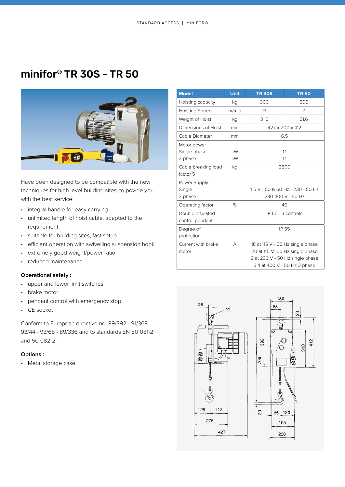# minifor® TR 30S - TR 50



Have been designed to be compatible with the new techniques for high level building sites, to povide you with the best service:

- integral handle for easy carrying
- unlimited length of hoist cable, adapted to the requirement
- suitable for building sites, fast setup
- efficient operation with swivelling suspension hook
- extremely good weight/power ratio
- reduced maintenance

### **Operational safety :**

- upper and lower limit switches
- brake motor
- pendant control with emergency stop
- CE socket

Conform to European directive no. 89/392 - 91/368 - 93/44 - 93/68 - 89/336 and to standards EN 50 081-2 and 50 082-2.

## **Options :**

• Metal storage case

| <b>Model</b>                           | <b>Unit</b> | <b>TR 30S</b>                                                                                                                          | <b>TR 50</b>                                          |
|----------------------------------------|-------------|----------------------------------------------------------------------------------------------------------------------------------------|-------------------------------------------------------|
| Hoisting capacity                      | kq          | 300                                                                                                                                    | 500                                                   |
| <b>Hoisting Speed</b>                  | m/min       | 13                                                                                                                                     | 7                                                     |
| Weight of Hoist                        | kq          | 31.6                                                                                                                                   | 31.6                                                  |
| Dimensions of Hoist                    | mm          | $427 \times 200 \times 412$                                                                                                            |                                                       |
| Cable Diameter                         | mm          | 6.5                                                                                                                                    |                                                       |
| Motor power<br>Single phase<br>3-phase | kW<br>kW    | 1.1<br>1.1                                                                                                                             |                                                       |
| Cable breaking load<br>factor 5        | kq          | 2500                                                                                                                                   |                                                       |
| Power Supply<br>Single<br>3-phase      |             |                                                                                                                                        | 115 V - 50 & 60 Hz - 230 - 50 Hz<br>230-400 V - 50 Hz |
| Operating factor                       | %           | 40                                                                                                                                     |                                                       |
| Double insulated<br>control pendant    |             | $IP$ 65 - 3 controls                                                                                                                   |                                                       |
| Degree of<br>protection                |             | IP 55                                                                                                                                  |                                                       |
| Current with brake<br>motor            | А           | 18 at 115 V - 50 Hz single phase<br>20 at 115 V- 60 Hz single phase<br>9 at 230 V - 50 Hz single phase<br>3.4 at 400 V - 50 Hz 3-phase |                                                       |